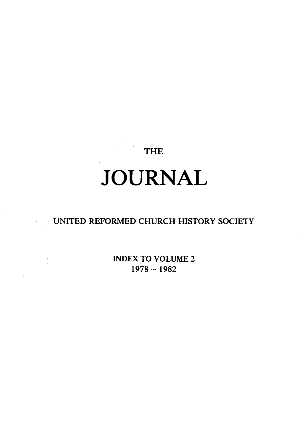## THE

# **JOURNAL**

### UNITED REFORMED CHURCH HISTORY SOCIETY

INDEX TO VOLUME 2 1978-1982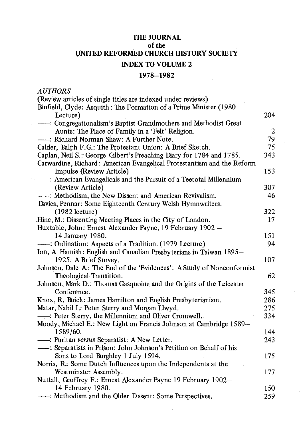#### **THE JOURNAL of the UNITED REFORMED CHURCH HISTORY SOCIETY INDEX TO VOLUME 2**

#### **1978-1982**

*AUTHORS* 

| (Review articles of single titles are indexed under reviews)           |                |  |
|------------------------------------------------------------------------|----------------|--|
| Binfield, Clyde: Asquith: The Formation of a Prime Minister (1980)     |                |  |
| Lecture)                                                               | 204            |  |
| -- Congregationalism's Baptist Grandmothers and Methodist Great        |                |  |
| Aunts: The Place of Family in a 'Felt' Religion.                       | $\overline{c}$ |  |
| ----: Richard Norman Shaw: A Further Note.                             | 79             |  |
| Calder, Ralph F.G.: The Protestant Union: A Brief Sketch.              | 75             |  |
| Caplan, Neil S.: George Gilbert's Preaching Diary for 1784 and 1785.   | 343            |  |
| Carwardine, Richard: American Evangelical Protestantism and the Reform |                |  |
| Impulse (Review Article)                                               | 153            |  |
| ----: American Evangelicals and the Pursuit of a Teetotal Millennium   |                |  |
| (Review Article)                                                       | 307            |  |
| -- : Methodism, the New Dissent and American Revivalism.               | 46             |  |
| Davies, Pennar: Some Eighteenth Century Welsh Hymnwriters.             |                |  |
| $(1982)$ lecture)                                                      | 322            |  |
| Hine, M.: Dissenting Meeting Places in the City of London.             | 17             |  |
| Huxtable, John: Ernest Alexander Payne, 19 February 1902 -             |                |  |
| 14 January 1980.                                                       | 151            |  |
| -- : Ordination: Aspects of a Tradition. (1979 Lecture)                | 94             |  |
| Ion, A. Hamish: English and Canadian Presbyterians in Taiwan 1895-     |                |  |
| 1925: A Brief Survey.                                                  | 107            |  |
| Johnson, Dale A: The End of the 'Evidences': A Study of Nonconformist  |                |  |
| Theological Transition.                                                | 62             |  |
| Johnson, Mark D.: Thomas Gasquoine and the Origins of the Leicester    |                |  |
| Conference.                                                            | 345            |  |
| Knox, R. Buick: James Hamilton and English Presbyterianism.            | 286            |  |
| Matar, Nabil I.: Peter Sterry and Morgan Llwyd.                        | 275            |  |
| - Peter Sterry, the Millennium and Oliver Cromwell.                    | 334            |  |
| Moody, Michael E.: New Light on Francis Johnson at Cambridge 1589-     |                |  |
| 1589/60.                                                               | 144            |  |
| - : Puritan versus Separatist: A New Letter.                           | 243            |  |
| ----: Separatists in Prison: John Johnson's Petition on Behalf of his  |                |  |
| Sons to Lord Burghley 1 July 1594.                                     | 175            |  |
| Norris, R: Some Dutch Influences upon the Independents at the          |                |  |
| Westminster Assembly.                                                  | 177            |  |
| Nuttall, Geoffrey F.: Ernest Alexander Payne 19 February 1902-         |                |  |
| 14 February 1980.                                                      | 150            |  |
| ----: Methodism and the Older Dissent: Some Perspectives.              | 259            |  |
|                                                                        |                |  |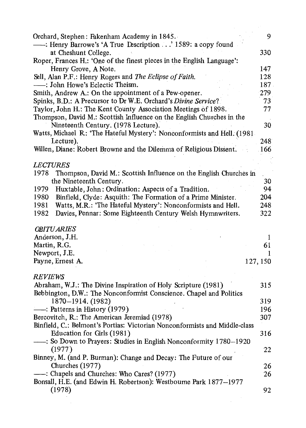| Orchard, Stephen: Fakenham Academy in 1845.                                                          | 9             |
|------------------------------------------------------------------------------------------------------|---------------|
| ---: Henry Barrowe's 'A True Description' 1589: a copy found                                         |               |
| at Cheshunt College.                                                                                 | 330           |
| Roper, Frances H.: 'One of the finest pieces in the English Language':                               |               |
| Henry Grove, A Note.                                                                                 | 147           |
| Sell, Alan P.F.: Henry Rogers and The Eclipse of Faith.                                              | 128           |
| -- : John Howe's Eclectic Theism.                                                                    | 187           |
| Smith, Andrew A.: On the appointment of a Pew-opener.                                                | 279           |
| Spinks, B.D.: A Precursor to Dr W.E. Orchard's Divine Service?                                       | 73            |
| Taylor, John H.: The Kent County Association Meetings of 1898.                                       | 77            |
| Thompson, David M.: Scottish Influence on the English Churches in the                                |               |
| Nineteenth Century. (1978 Lecture).                                                                  | 30            |
| Watts, Michael R: 'The Hateful Mystery': Nonconformists and Hell. (1981-                             |               |
| Lecture).                                                                                            | $248^{\circ}$ |
| Willen, Diane: Robert Browne and the Dilemma of Religious Dissent.                                   | .166          |
|                                                                                                      |               |
| <i>LECTURES</i>                                                                                      |               |
| Thompson, David M.: Scottish Influence on the English Churches in<br>1978<br>the Nineteenth Century. | 30            |
| Huxtable, John: Ordination: Aspects of a Tradition.<br>1979                                          | 94            |
| Binfield, Clyde: Asquith: The Formation of a Prime Minister.<br>1980                                 | 204           |
| Watts, M.R.: 'The Hateful Mystery': Nonconformists and Hell.<br>1981                                 | 248           |
| Davies, Pennar: Some Eighteenth Century Welsh Hymnwriters.<br>1982                                   | 322           |
|                                                                                                      |               |
| <b>OBITU ARIES</b>                                                                                   |               |
| Anderson, J.H.                                                                                       | 1             |
| Martin, R.G.                                                                                         | 61            |
| Newport, J.E.                                                                                        | 1             |
| Payne, Ernest A.<br>127, 150                                                                         |               |
|                                                                                                      |               |
| REVIEWS                                                                                              |               |
| Abraham, W.J.: The Divine Inspiration of Holy Scripture (1981)                                       | 315           |
| Bebbington, D.W.: The Nonconformist Conscience. Chapel and Politics                                  |               |
| 1870-1914. (1982)                                                                                    | 319           |
| - Patterns in History (1979)                                                                         | 196           |
| Bercovitch, R.: The American Jeremiad (1978)                                                         | 307           |
| Binfield, C.: Belmont's Portias: Victorian Nonconformists and Middle-class                           |               |
| Education for Girls (1981)                                                                           | 316           |
| ----: So Down to Prayers: Studies in English Nonconformity 1780-1920                                 |               |
| (1977)                                                                                               | 22            |
| Binney, M. (and P. Burman): Change and Decay: The Future of our                                      |               |
| Churches $(1977)$                                                                                    | 26            |
| : Chapels and Churches: Who Cares? (1977)                                                            | 26            |
| Bonsall, H.E. (and Edwin H. Robertson): Westbourne Park 1877-1977<br>(1978)                          | 92            |
|                                                                                                      |               |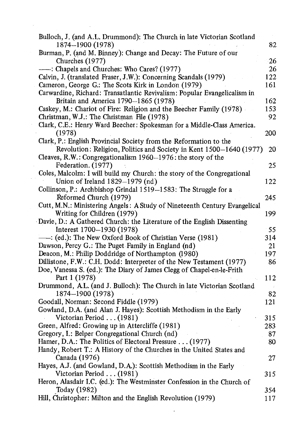| Bulloch, J. (and A.L. Drummond): The Church in late Victorian Scotland    |      |
|---------------------------------------------------------------------------|------|
| 1874-1900 (1978)                                                          | 82   |
| Burman, P. (and M. Binney): Change and Decay: The Future of our           |      |
| Churches (1977)                                                           | 26   |
| ---: Chapels and Churches: Who Cares? (1977)                              | 26   |
| Calvin, J. (translated Fraser, J.W.): Concerning Scandals (1979)          | 122  |
| Cameron, George G.: The Scots Kirk in London (1979)                       | 161  |
| Carwardine, Richard: Transatlantic Revivalism: Popular Evangelicalism in  |      |
| Britain and America 1790-1865 (1978)                                      | 162  |
| Caskey, M.: Chariot of Fire: Religion and the Beecher Family (1978)       | 153. |
| Christman, W.J.: The Christman File (1978)                                | 92   |
| Clark, C.E.: Henry Ward Beecher: Spokesman for a Middle-Class America.    |      |
| (1978)                                                                    | 200  |
| Clark, P.: English Provincial Society from the Reformation to the         |      |
| Revolution: Religion, Politics and Society in Kent 1500-1640 (1977)       | 20   |
| Cleaves, R.W.: Congregationalism 1960-1976: the story of the              |      |
| Federation. (1977)                                                        | 25   |
| Coles, Malcolm: I will build my Church: the story of the Congregational   |      |
| Union of Ireland $1829 - 1979$ (nd)                                       | 122  |
| Collinson, P.: Archbishop Grindal 1519-1583: The Struggle for a           |      |
| Reformed Church (1979)                                                    | 245  |
| Cutt, M.N.: Ministering Angels: A Study of Nineteenth Century Evangelical |      |
| Writing for Children (1979)                                               | 199  |
| Davie, D.: A Gathered Church: the Literature of the English Dissenting    |      |
| Interest 1700-1930 (1978)                                                 | - 55 |
| ---: (ed.): The New Oxford Book of Christian Verse (1981)                 | 314  |
| Dawson, Percy G.: The Puget Family in England (nd)                        | 21   |
| Deacon, M.: Philip Doddridge of Northampton (1980)                        | 197  |
| Dillistone, F.W.: C.H. Dodd: Interpreter of the New Testament (1977)      | 86   |
| Doe, Vanessa S. (ed.): The Diary of James Clegg of Chapel-en-le-Frith     |      |
| Part 1 (1978)                                                             | 112  |
| Drummond, A.L. (and J. Bulloch): The Church in late Victorian Scotland    |      |
| 1874-1900 (1978)                                                          | 82   |
| Goodall, Norman: Second Fiddle (1979)                                     | 121  |
| Gowland, D.A. (and Alan J. Hayes): Scottish Methodism in the Early        |      |
| Victorian Period (1981)                                                   | 315  |
| Green, Alfred: Growing up in Attercliffe (1981)                           | 283  |
| Gregory, I.: Belper Congregational Church (nd)                            | 87   |
| Hamer, D.A.: The Politics of Electoral Pressure (1977)                    | 80   |
| Handy, Robert T.: A History of the Churches in the United States and      |      |
| Canada (1976)                                                             | 27   |
| Hayes, A.J. (and Gowland, D.A.): Scottish Methodism in the Early          |      |
| Victorian Period (1981)                                                   | 315  |
| Heron, Alasdair I.C. (ed.): The Westminster Confession in the Church of   |      |
| Today (1982)                                                              | 354  |
| Hill, Christopher: Milton and the English Revolution (1979)               | 117  |
|                                                                           |      |

 $\mathcal{L}^{\text{max}}_{\text{max}}$  .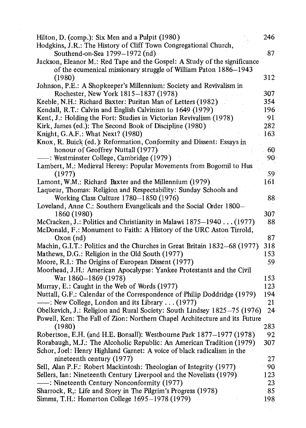| Hodgkins, J.R.: The History of Cliff Town Congregational Church,<br>87<br>Southend-on-Sea 1799-1972 (nd)<br>Jackson, Eleanor M.: Red Tape and the Gospel: A Study of the significance<br>of the ecumenical missionary struggle of William Paton 1886-1943<br>312<br>(1980)<br>Johnson, P.E.: A Shopkeeper's Millennium: Society and Revivalism in<br>Rochester, New York 1815-1837 (1978)<br>307<br>354<br>Keeble, N.H.: Richard Baxter: Puritan Man of Letters (1982)<br>Kendall, R.T.: Calvin and English Calvinism to 1649 (1979)<br>196<br>Kent, J.: Holding the Fort: Studies in Victorian Revivalism (1978)<br>91.<br>Kirk, James (ed.): The Second Book of Discipline (1980)<br>282<br>163<br>Knight, G.A.F.: What Next? (1980)<br>Knox, R. Buick (ed.): Reformation, Conformity and Dissent: Essays in<br>honour of Geoffrey Nuttall (1977)<br>60<br>-: Westminster College, Cambridge (1979)<br>90.<br>Lambert, M.: Medieval Heresy: Popular Movements from Bogomil to Hus<br>(1977)<br>.59<br>Lamont, W.M.: Richard Baxter and the Millennium (1979)<br>161<br>Laqueur, Thomas: Religion and Respectability: Sunday Schools and<br>Working Class Culture 1780-1850 (1976)<br>88<br>Loveland, Anne C.: Southern Evangelicals and the Social Order 1800-<br>307<br>1860 (1980)<br>McCracken, J.: Politics and Christianity in Malawi 1875-1940 (1977)<br>88<br>McDonald, F.: Monument to Faith: A History of the URC Aston Tirrold,<br>$Oxon$ (nd)<br>87<br>Machin, G.I.T.: Politics and the Churches in Great Britain 1832-68 (1977)<br>318<br>153<br>Mathews, D.G.: Religion in the Old South (1977)<br>Moore, R.I.: The Origins of European Dissent (1977)<br>59<br>Moorhead, J.H.: American Apocalypse: Yankee Protestants and the Civil<br>War 1860-1869 (1978)<br>153<br>Murray, E.: Caught in the Web of Words (1977)<br>123<br>194<br>Nuttall, G.F.: Calendar of the Correspondence of Philip Doddridge (1979)<br>-- : New College, London and its Library (1977)<br>21<br>Obelkevich, J.: Religion and Rural Society: South Lindsey 1825-75 (1976)<br>24<br>Powell, Ken: The Fall of Zion: Northern Chapel Architecture and its Future<br>283<br>(1980)<br>Robertson, E.H. (and H.E. Bonsall): Westbourne Park 1877-1977 (1978)<br>92<br>Rorabaugh, M.J.: The Alcoholic Republic: An American Tradition (1979)<br>307<br>Schor, Joel: Henry Highland Garnet: A voice of black radicalism in the<br>nineteenth century (1977)<br>27<br>Sell, Alan P.F.: Robert Mackintosh: Theologian of Integrity (1977)<br>90<br>Sellers, Ian: Nineteenth Century Liverpool and the Novelists (1979)<br>123<br>-- : Nineteenth Century Nonconformity (1977)<br>23 | Hilton, D. (comp.): Six Men and a Pulpit (1980)               | 246 |
|---------------------------------------------------------------------------------------------------------------------------------------------------------------------------------------------------------------------------------------------------------------------------------------------------------------------------------------------------------------------------------------------------------------------------------------------------------------------------------------------------------------------------------------------------------------------------------------------------------------------------------------------------------------------------------------------------------------------------------------------------------------------------------------------------------------------------------------------------------------------------------------------------------------------------------------------------------------------------------------------------------------------------------------------------------------------------------------------------------------------------------------------------------------------------------------------------------------------------------------------------------------------------------------------------------------------------------------------------------------------------------------------------------------------------------------------------------------------------------------------------------------------------------------------------------------------------------------------------------------------------------------------------------------------------------------------------------------------------------------------------------------------------------------------------------------------------------------------------------------------------------------------------------------------------------------------------------------------------------------------------------------------------------------------------------------------------------------------------------------------------------------------------------------------------------------------------------------------------------------------------------------------------------------------------------------------------------------------------------------------------------------------------------------------------------------------------------------------------------------------------------------------------------------------------------------------------------------------------------------------------------------------------------------------|---------------------------------------------------------------|-----|
|                                                                                                                                                                                                                                                                                                                                                                                                                                                                                                                                                                                                                                                                                                                                                                                                                                                                                                                                                                                                                                                                                                                                                                                                                                                                                                                                                                                                                                                                                                                                                                                                                                                                                                                                                                                                                                                                                                                                                                                                                                                                                                                                                                                                                                                                                                                                                                                                                                                                                                                                                                                                                                                                     |                                                               |     |
|                                                                                                                                                                                                                                                                                                                                                                                                                                                                                                                                                                                                                                                                                                                                                                                                                                                                                                                                                                                                                                                                                                                                                                                                                                                                                                                                                                                                                                                                                                                                                                                                                                                                                                                                                                                                                                                                                                                                                                                                                                                                                                                                                                                                                                                                                                                                                                                                                                                                                                                                                                                                                                                                     |                                                               |     |
|                                                                                                                                                                                                                                                                                                                                                                                                                                                                                                                                                                                                                                                                                                                                                                                                                                                                                                                                                                                                                                                                                                                                                                                                                                                                                                                                                                                                                                                                                                                                                                                                                                                                                                                                                                                                                                                                                                                                                                                                                                                                                                                                                                                                                                                                                                                                                                                                                                                                                                                                                                                                                                                                     |                                                               |     |
|                                                                                                                                                                                                                                                                                                                                                                                                                                                                                                                                                                                                                                                                                                                                                                                                                                                                                                                                                                                                                                                                                                                                                                                                                                                                                                                                                                                                                                                                                                                                                                                                                                                                                                                                                                                                                                                                                                                                                                                                                                                                                                                                                                                                                                                                                                                                                                                                                                                                                                                                                                                                                                                                     |                                                               |     |
|                                                                                                                                                                                                                                                                                                                                                                                                                                                                                                                                                                                                                                                                                                                                                                                                                                                                                                                                                                                                                                                                                                                                                                                                                                                                                                                                                                                                                                                                                                                                                                                                                                                                                                                                                                                                                                                                                                                                                                                                                                                                                                                                                                                                                                                                                                                                                                                                                                                                                                                                                                                                                                                                     |                                                               |     |
|                                                                                                                                                                                                                                                                                                                                                                                                                                                                                                                                                                                                                                                                                                                                                                                                                                                                                                                                                                                                                                                                                                                                                                                                                                                                                                                                                                                                                                                                                                                                                                                                                                                                                                                                                                                                                                                                                                                                                                                                                                                                                                                                                                                                                                                                                                                                                                                                                                                                                                                                                                                                                                                                     |                                                               |     |
|                                                                                                                                                                                                                                                                                                                                                                                                                                                                                                                                                                                                                                                                                                                                                                                                                                                                                                                                                                                                                                                                                                                                                                                                                                                                                                                                                                                                                                                                                                                                                                                                                                                                                                                                                                                                                                                                                                                                                                                                                                                                                                                                                                                                                                                                                                                                                                                                                                                                                                                                                                                                                                                                     |                                                               |     |
|                                                                                                                                                                                                                                                                                                                                                                                                                                                                                                                                                                                                                                                                                                                                                                                                                                                                                                                                                                                                                                                                                                                                                                                                                                                                                                                                                                                                                                                                                                                                                                                                                                                                                                                                                                                                                                                                                                                                                                                                                                                                                                                                                                                                                                                                                                                                                                                                                                                                                                                                                                                                                                                                     |                                                               |     |
|                                                                                                                                                                                                                                                                                                                                                                                                                                                                                                                                                                                                                                                                                                                                                                                                                                                                                                                                                                                                                                                                                                                                                                                                                                                                                                                                                                                                                                                                                                                                                                                                                                                                                                                                                                                                                                                                                                                                                                                                                                                                                                                                                                                                                                                                                                                                                                                                                                                                                                                                                                                                                                                                     |                                                               |     |
|                                                                                                                                                                                                                                                                                                                                                                                                                                                                                                                                                                                                                                                                                                                                                                                                                                                                                                                                                                                                                                                                                                                                                                                                                                                                                                                                                                                                                                                                                                                                                                                                                                                                                                                                                                                                                                                                                                                                                                                                                                                                                                                                                                                                                                                                                                                                                                                                                                                                                                                                                                                                                                                                     |                                                               |     |
|                                                                                                                                                                                                                                                                                                                                                                                                                                                                                                                                                                                                                                                                                                                                                                                                                                                                                                                                                                                                                                                                                                                                                                                                                                                                                                                                                                                                                                                                                                                                                                                                                                                                                                                                                                                                                                                                                                                                                                                                                                                                                                                                                                                                                                                                                                                                                                                                                                                                                                                                                                                                                                                                     |                                                               |     |
|                                                                                                                                                                                                                                                                                                                                                                                                                                                                                                                                                                                                                                                                                                                                                                                                                                                                                                                                                                                                                                                                                                                                                                                                                                                                                                                                                                                                                                                                                                                                                                                                                                                                                                                                                                                                                                                                                                                                                                                                                                                                                                                                                                                                                                                                                                                                                                                                                                                                                                                                                                                                                                                                     |                                                               |     |
|                                                                                                                                                                                                                                                                                                                                                                                                                                                                                                                                                                                                                                                                                                                                                                                                                                                                                                                                                                                                                                                                                                                                                                                                                                                                                                                                                                                                                                                                                                                                                                                                                                                                                                                                                                                                                                                                                                                                                                                                                                                                                                                                                                                                                                                                                                                                                                                                                                                                                                                                                                                                                                                                     |                                                               |     |
|                                                                                                                                                                                                                                                                                                                                                                                                                                                                                                                                                                                                                                                                                                                                                                                                                                                                                                                                                                                                                                                                                                                                                                                                                                                                                                                                                                                                                                                                                                                                                                                                                                                                                                                                                                                                                                                                                                                                                                                                                                                                                                                                                                                                                                                                                                                                                                                                                                                                                                                                                                                                                                                                     |                                                               |     |
|                                                                                                                                                                                                                                                                                                                                                                                                                                                                                                                                                                                                                                                                                                                                                                                                                                                                                                                                                                                                                                                                                                                                                                                                                                                                                                                                                                                                                                                                                                                                                                                                                                                                                                                                                                                                                                                                                                                                                                                                                                                                                                                                                                                                                                                                                                                                                                                                                                                                                                                                                                                                                                                                     |                                                               |     |
|                                                                                                                                                                                                                                                                                                                                                                                                                                                                                                                                                                                                                                                                                                                                                                                                                                                                                                                                                                                                                                                                                                                                                                                                                                                                                                                                                                                                                                                                                                                                                                                                                                                                                                                                                                                                                                                                                                                                                                                                                                                                                                                                                                                                                                                                                                                                                                                                                                                                                                                                                                                                                                                                     |                                                               |     |
|                                                                                                                                                                                                                                                                                                                                                                                                                                                                                                                                                                                                                                                                                                                                                                                                                                                                                                                                                                                                                                                                                                                                                                                                                                                                                                                                                                                                                                                                                                                                                                                                                                                                                                                                                                                                                                                                                                                                                                                                                                                                                                                                                                                                                                                                                                                                                                                                                                                                                                                                                                                                                                                                     |                                                               |     |
|                                                                                                                                                                                                                                                                                                                                                                                                                                                                                                                                                                                                                                                                                                                                                                                                                                                                                                                                                                                                                                                                                                                                                                                                                                                                                                                                                                                                                                                                                                                                                                                                                                                                                                                                                                                                                                                                                                                                                                                                                                                                                                                                                                                                                                                                                                                                                                                                                                                                                                                                                                                                                                                                     |                                                               |     |
|                                                                                                                                                                                                                                                                                                                                                                                                                                                                                                                                                                                                                                                                                                                                                                                                                                                                                                                                                                                                                                                                                                                                                                                                                                                                                                                                                                                                                                                                                                                                                                                                                                                                                                                                                                                                                                                                                                                                                                                                                                                                                                                                                                                                                                                                                                                                                                                                                                                                                                                                                                                                                                                                     |                                                               |     |
|                                                                                                                                                                                                                                                                                                                                                                                                                                                                                                                                                                                                                                                                                                                                                                                                                                                                                                                                                                                                                                                                                                                                                                                                                                                                                                                                                                                                                                                                                                                                                                                                                                                                                                                                                                                                                                                                                                                                                                                                                                                                                                                                                                                                                                                                                                                                                                                                                                                                                                                                                                                                                                                                     |                                                               |     |
|                                                                                                                                                                                                                                                                                                                                                                                                                                                                                                                                                                                                                                                                                                                                                                                                                                                                                                                                                                                                                                                                                                                                                                                                                                                                                                                                                                                                                                                                                                                                                                                                                                                                                                                                                                                                                                                                                                                                                                                                                                                                                                                                                                                                                                                                                                                                                                                                                                                                                                                                                                                                                                                                     |                                                               |     |
|                                                                                                                                                                                                                                                                                                                                                                                                                                                                                                                                                                                                                                                                                                                                                                                                                                                                                                                                                                                                                                                                                                                                                                                                                                                                                                                                                                                                                                                                                                                                                                                                                                                                                                                                                                                                                                                                                                                                                                                                                                                                                                                                                                                                                                                                                                                                                                                                                                                                                                                                                                                                                                                                     |                                                               |     |
|                                                                                                                                                                                                                                                                                                                                                                                                                                                                                                                                                                                                                                                                                                                                                                                                                                                                                                                                                                                                                                                                                                                                                                                                                                                                                                                                                                                                                                                                                                                                                                                                                                                                                                                                                                                                                                                                                                                                                                                                                                                                                                                                                                                                                                                                                                                                                                                                                                                                                                                                                                                                                                                                     |                                                               |     |
|                                                                                                                                                                                                                                                                                                                                                                                                                                                                                                                                                                                                                                                                                                                                                                                                                                                                                                                                                                                                                                                                                                                                                                                                                                                                                                                                                                                                                                                                                                                                                                                                                                                                                                                                                                                                                                                                                                                                                                                                                                                                                                                                                                                                                                                                                                                                                                                                                                                                                                                                                                                                                                                                     |                                                               |     |
|                                                                                                                                                                                                                                                                                                                                                                                                                                                                                                                                                                                                                                                                                                                                                                                                                                                                                                                                                                                                                                                                                                                                                                                                                                                                                                                                                                                                                                                                                                                                                                                                                                                                                                                                                                                                                                                                                                                                                                                                                                                                                                                                                                                                                                                                                                                                                                                                                                                                                                                                                                                                                                                                     |                                                               |     |
|                                                                                                                                                                                                                                                                                                                                                                                                                                                                                                                                                                                                                                                                                                                                                                                                                                                                                                                                                                                                                                                                                                                                                                                                                                                                                                                                                                                                                                                                                                                                                                                                                                                                                                                                                                                                                                                                                                                                                                                                                                                                                                                                                                                                                                                                                                                                                                                                                                                                                                                                                                                                                                                                     |                                                               |     |
|                                                                                                                                                                                                                                                                                                                                                                                                                                                                                                                                                                                                                                                                                                                                                                                                                                                                                                                                                                                                                                                                                                                                                                                                                                                                                                                                                                                                                                                                                                                                                                                                                                                                                                                                                                                                                                                                                                                                                                                                                                                                                                                                                                                                                                                                                                                                                                                                                                                                                                                                                                                                                                                                     |                                                               |     |
|                                                                                                                                                                                                                                                                                                                                                                                                                                                                                                                                                                                                                                                                                                                                                                                                                                                                                                                                                                                                                                                                                                                                                                                                                                                                                                                                                                                                                                                                                                                                                                                                                                                                                                                                                                                                                                                                                                                                                                                                                                                                                                                                                                                                                                                                                                                                                                                                                                                                                                                                                                                                                                                                     |                                                               |     |
|                                                                                                                                                                                                                                                                                                                                                                                                                                                                                                                                                                                                                                                                                                                                                                                                                                                                                                                                                                                                                                                                                                                                                                                                                                                                                                                                                                                                                                                                                                                                                                                                                                                                                                                                                                                                                                                                                                                                                                                                                                                                                                                                                                                                                                                                                                                                                                                                                                                                                                                                                                                                                                                                     |                                                               |     |
|                                                                                                                                                                                                                                                                                                                                                                                                                                                                                                                                                                                                                                                                                                                                                                                                                                                                                                                                                                                                                                                                                                                                                                                                                                                                                                                                                                                                                                                                                                                                                                                                                                                                                                                                                                                                                                                                                                                                                                                                                                                                                                                                                                                                                                                                                                                                                                                                                                                                                                                                                                                                                                                                     |                                                               |     |
|                                                                                                                                                                                                                                                                                                                                                                                                                                                                                                                                                                                                                                                                                                                                                                                                                                                                                                                                                                                                                                                                                                                                                                                                                                                                                                                                                                                                                                                                                                                                                                                                                                                                                                                                                                                                                                                                                                                                                                                                                                                                                                                                                                                                                                                                                                                                                                                                                                                                                                                                                                                                                                                                     |                                                               |     |
|                                                                                                                                                                                                                                                                                                                                                                                                                                                                                                                                                                                                                                                                                                                                                                                                                                                                                                                                                                                                                                                                                                                                                                                                                                                                                                                                                                                                                                                                                                                                                                                                                                                                                                                                                                                                                                                                                                                                                                                                                                                                                                                                                                                                                                                                                                                                                                                                                                                                                                                                                                                                                                                                     |                                                               |     |
|                                                                                                                                                                                                                                                                                                                                                                                                                                                                                                                                                                                                                                                                                                                                                                                                                                                                                                                                                                                                                                                                                                                                                                                                                                                                                                                                                                                                                                                                                                                                                                                                                                                                                                                                                                                                                                                                                                                                                                                                                                                                                                                                                                                                                                                                                                                                                                                                                                                                                                                                                                                                                                                                     |                                                               |     |
|                                                                                                                                                                                                                                                                                                                                                                                                                                                                                                                                                                                                                                                                                                                                                                                                                                                                                                                                                                                                                                                                                                                                                                                                                                                                                                                                                                                                                                                                                                                                                                                                                                                                                                                                                                                                                                                                                                                                                                                                                                                                                                                                                                                                                                                                                                                                                                                                                                                                                                                                                                                                                                                                     |                                                               |     |
|                                                                                                                                                                                                                                                                                                                                                                                                                                                                                                                                                                                                                                                                                                                                                                                                                                                                                                                                                                                                                                                                                                                                                                                                                                                                                                                                                                                                                                                                                                                                                                                                                                                                                                                                                                                                                                                                                                                                                                                                                                                                                                                                                                                                                                                                                                                                                                                                                                                                                                                                                                                                                                                                     |                                                               |     |
|                                                                                                                                                                                                                                                                                                                                                                                                                                                                                                                                                                                                                                                                                                                                                                                                                                                                                                                                                                                                                                                                                                                                                                                                                                                                                                                                                                                                                                                                                                                                                                                                                                                                                                                                                                                                                                                                                                                                                                                                                                                                                                                                                                                                                                                                                                                                                                                                                                                                                                                                                                                                                                                                     |                                                               |     |
|                                                                                                                                                                                                                                                                                                                                                                                                                                                                                                                                                                                                                                                                                                                                                                                                                                                                                                                                                                                                                                                                                                                                                                                                                                                                                                                                                                                                                                                                                                                                                                                                                                                                                                                                                                                                                                                                                                                                                                                                                                                                                                                                                                                                                                                                                                                                                                                                                                                                                                                                                                                                                                                                     |                                                               |     |
|                                                                                                                                                                                                                                                                                                                                                                                                                                                                                                                                                                                                                                                                                                                                                                                                                                                                                                                                                                                                                                                                                                                                                                                                                                                                                                                                                                                                                                                                                                                                                                                                                                                                                                                                                                                                                                                                                                                                                                                                                                                                                                                                                                                                                                                                                                                                                                                                                                                                                                                                                                                                                                                                     |                                                               |     |
|                                                                                                                                                                                                                                                                                                                                                                                                                                                                                                                                                                                                                                                                                                                                                                                                                                                                                                                                                                                                                                                                                                                                                                                                                                                                                                                                                                                                                                                                                                                                                                                                                                                                                                                                                                                                                                                                                                                                                                                                                                                                                                                                                                                                                                                                                                                                                                                                                                                                                                                                                                                                                                                                     |                                                               |     |
|                                                                                                                                                                                                                                                                                                                                                                                                                                                                                                                                                                                                                                                                                                                                                                                                                                                                                                                                                                                                                                                                                                                                                                                                                                                                                                                                                                                                                                                                                                                                                                                                                                                                                                                                                                                                                                                                                                                                                                                                                                                                                                                                                                                                                                                                                                                                                                                                                                                                                                                                                                                                                                                                     |                                                               |     |
|                                                                                                                                                                                                                                                                                                                                                                                                                                                                                                                                                                                                                                                                                                                                                                                                                                                                                                                                                                                                                                                                                                                                                                                                                                                                                                                                                                                                                                                                                                                                                                                                                                                                                                                                                                                                                                                                                                                                                                                                                                                                                                                                                                                                                                                                                                                                                                                                                                                                                                                                                                                                                                                                     |                                                               |     |
|                                                                                                                                                                                                                                                                                                                                                                                                                                                                                                                                                                                                                                                                                                                                                                                                                                                                                                                                                                                                                                                                                                                                                                                                                                                                                                                                                                                                                                                                                                                                                                                                                                                                                                                                                                                                                                                                                                                                                                                                                                                                                                                                                                                                                                                                                                                                                                                                                                                                                                                                                                                                                                                                     |                                                               |     |
|                                                                                                                                                                                                                                                                                                                                                                                                                                                                                                                                                                                                                                                                                                                                                                                                                                                                                                                                                                                                                                                                                                                                                                                                                                                                                                                                                                                                                                                                                                                                                                                                                                                                                                                                                                                                                                                                                                                                                                                                                                                                                                                                                                                                                                                                                                                                                                                                                                                                                                                                                                                                                                                                     |                                                               |     |
|                                                                                                                                                                                                                                                                                                                                                                                                                                                                                                                                                                                                                                                                                                                                                                                                                                                                                                                                                                                                                                                                                                                                                                                                                                                                                                                                                                                                                                                                                                                                                                                                                                                                                                                                                                                                                                                                                                                                                                                                                                                                                                                                                                                                                                                                                                                                                                                                                                                                                                                                                                                                                                                                     | Sharrock, R,: Life and Story in The Pilgrim's Progress (1978) | 85  |
| Simms, T.H.: Homerton College 1695-1978 (1979)<br>198                                                                                                                                                                                                                                                                                                                                                                                                                                                                                                                                                                                                                                                                                                                                                                                                                                                                                                                                                                                                                                                                                                                                                                                                                                                                                                                                                                                                                                                                                                                                                                                                                                                                                                                                                                                                                                                                                                                                                                                                                                                                                                                                                                                                                                                                                                                                                                                                                                                                                                                                                                                                               |                                                               |     |

 $\sim 10^{-10}$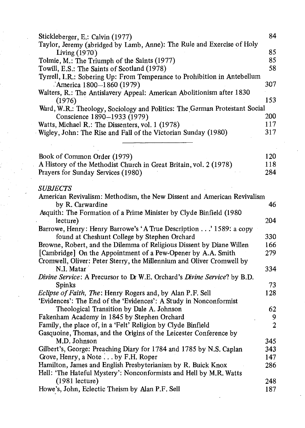| Stickleberger, E.: Calvin (1977)<br>Taylor, Jeremy (abridged by Lamb, Anne): The Rule and Exercise of Holy | 84             |
|------------------------------------------------------------------------------------------------------------|----------------|
| Living (1970)                                                                                              | 85             |
| Tolmie, M.: The Triumph of the Saints (1977)                                                               | 85             |
| Towill, E.S.: The Saints of Scotland (1978)                                                                | 58             |
| Tyrrell, I.R.: Sobering Up: From Temperance to Prohibition in Antebellum<br>America $1800 - 1860$ (1979)   | 307            |
| Walters, R.: The Antislavery Appeal: American Abolitionism after 1830                                      |                |
| (1976)                                                                                                     | 153            |
| Ward, W.R.: Theology, Sociology and Politics: The German Protestant Social                                 |                |
| Conscience 1890-1933 (1979)                                                                                | 200            |
| Watts, Michael R.: The Dissenters, vol. 1 (1978)                                                           | 117            |
| Wigley, John: The Rise and Fall of the Victorian Sunday (1980)                                             | 317            |
|                                                                                                            |                |
|                                                                                                            |                |
| Book of Common Order (1979)                                                                                | 120            |
| A History of the Methodist Church in Great Britain, vol. 2 (1978)                                          | 118            |
| Prayers for Sunday Services (1980)                                                                         | 284            |
|                                                                                                            |                |
| <i><b>SUBJECTS</b></i>                                                                                     |                |
| American Revivalism: Methodism, the New Dissent and American Revivalism<br>by R. Carwardine                | 46             |
| Asquith: The Formation of a Prime Minister by Clyde Binfield (1980                                         |                |
| lecture)                                                                                                   | 204            |
| Barrowe, Henry: Henry Barrowe's 'A True Description' 1589: a copy                                          |                |
| found at Cheshunt College by Stephen Orchard                                                               | 330            |
| Browne, Robert, and the Dilemma of Religious Dissent by Diane Willen                                       | 166            |
| [Cambridge] On the Appointment of a Pew-Opener by A.A. Smith                                               | 279            |
| Cromwell, Oliver: Peter Sterry, the Millennium and Oliver Cromwell by                                      |                |
| N.I. Matar                                                                                                 | 334            |
| Divine Service: A Precursor to Dr W.E. Orchard's Divine Service? by B.D.                                   |                |
| <b>Spinks</b>                                                                                              | 73             |
| Eclipse of Faith, The: Henry Rogers and, by Alan P.F. Sell                                                 | 128            |
| 'Evidences': The End of the 'Evidences': A Study in Nonconformist                                          |                |
|                                                                                                            |                |
| Theological Transition by Dale A. Johnson                                                                  | 62             |
| Fakenham Academy in 1845 by Stephen Orchard                                                                | 9              |
| Family, the place of, in a 'Felt' Religion by Clyde Binfield                                               | $\overline{2}$ |
| Gasquoine, Thomas, and the Origins of the Leicester Conference by                                          |                |
| M.D. Johnson                                                                                               | 345            |
| Gilbert's, George: Preaching Diary for 1784 and 1785 by N.S. Caplan                                        | 343            |
| Grove, Henry, a Note by F.H. Roper                                                                         | 147            |
| Hamilton, James and English Presbyterianism by R. Buick Knox                                               | 286            |
| Hell: 'The Hateful Mystery': Nonconformists and Hell by M.R. Watts                                         |                |
| $(1981)$ lecture)                                                                                          | 248            |
| Howe's, John, Eclectic Theism by Alan P.F. Sell                                                            | 187            |
|                                                                                                            |                |

 $\langle \cdot, \cdot \rangle$ 

ina<br>Lihat perangan

 $\sim 10^{-11}$